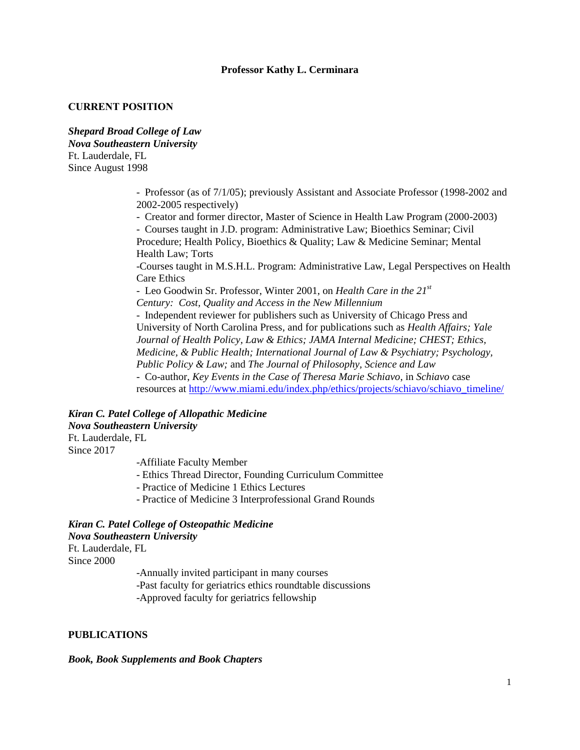# **Professor Kathy L. Cerminara**

### **CURRENT POSITION**

*Shepard Broad College of Law Nova Southeastern University* Ft. Lauderdale, FL Since August 1998

> - Professor (as of 7/1/05); previously Assistant and Associate Professor (1998-2002 and 2002-2005 respectively)

- Creator and former director, Master of Science in Health Law Program (2000-2003)

- Courses taught in J.D. program: Administrative Law; Bioethics Seminar; Civil Procedure; Health Policy, Bioethics & Quality; Law & Medicine Seminar; Mental Health Law; Torts

-Courses taught in M.S.H.L. Program: Administrative Law, Legal Perspectives on Health Care Ethics

- Leo Goodwin Sr. Professor, Winter 2001, on *Health Care in the 21st Century: Cost, Quality and Access in the New Millennium* - Independent reviewer for publishers such as University of Chicago Press and University of North Carolina Press, and for publications such as *Health Affairs; Yale Journal of Health Policy, Law & Ethics; JAMA Internal Medicine; CHEST; Ethics, Medicine, & Public Health; International Journal of Law & Psychiatry; Psychology, Public Policy & Law;* and *The Journal of Philosophy, Science and Law* - Co-author, *Key Events in the Case of Theresa Marie Schiavo*, in *Schiavo* case resources at [http://www.miami.edu/index.php/ethics/projects/schiavo/schiavo\\_timeline/](http://www.miami.edu/index.php/ethics/projects/schiavo/schiavo_timeline/)

### *Kiran C. Patel College of Allopathic Medicine Nova Southeastern University* Ft. Lauderdale, FL

Since 2017

-Affiliate Faculty Member

- Ethics Thread Director, Founding Curriculum Committee
- Practice of Medicine 1 Ethics Lectures
- Practice of Medicine 3 Interprofessional Grand Rounds

# *Kiran C. Patel College of Osteopathic Medicine Nova Southeastern University*

Ft. Lauderdale, FL Since 2000

> -Annually invited participant in many courses -Past faculty for geriatrics ethics roundtable discussions -Approved faculty for geriatrics fellowship

# **PUBLICATIONS**

#### *Book, Book Supplements and Book Chapters*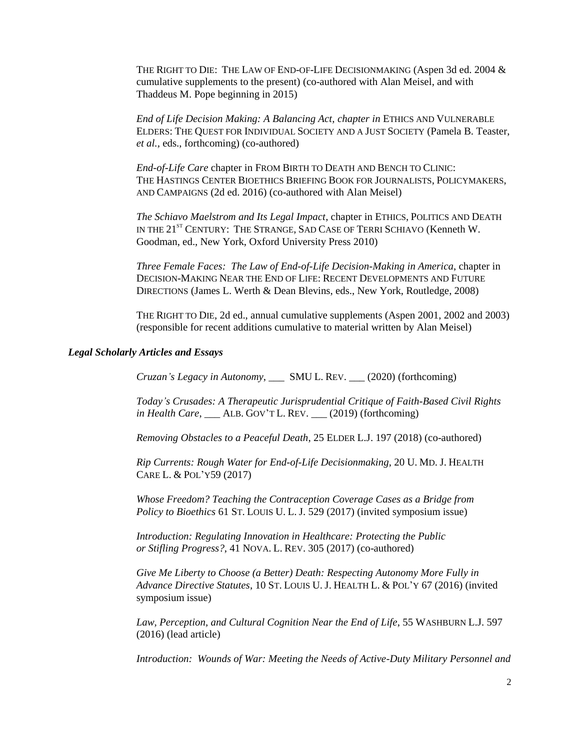THE RIGHT TO DIE: THE LAW OF END-OF-LIFE DECISIONMAKING (Aspen 3d ed. 2004 & cumulative supplements to the present) (co-authored with Alan Meisel, and with Thaddeus M. Pope beginning in 2015)

*End of Life Decision Making: A Balancing Act, chapter in* ETHICS AND VULNERABLE ELDERS: THE QUEST FOR INDIVIDUAL SOCIETY AND A JUST SOCIETY (Pamela B. Teaster, *et al.,* eds., forthcoming) (co-authored)

*End-of-Life Care* chapter in FROM BIRTH TO DEATH AND BENCH TO CLINIC: THE HASTINGS CENTER BIOETHICS BRIEFING BOOK FOR JOURNALISTS, POLICYMAKERS, AND CAMPAIGNS (2d ed. 2016) (co-authored with Alan Meisel)

*The Schiavo Maelstrom and Its Legal Impact*, chapter in ETHICS, POLITICS AND DEATH IN THE 21<sup>ST</sup> CENTURY: THE STRANGE, SAD CASE OF TERRI SCHIAVO (Kenneth W. Goodman, ed., New York, Oxford University Press 2010)

*Three Female Faces: The Law of End-of-Life Decision-Making in America*, chapter in DECISION-MAKING NEAR THE END OF LIFE: RECENT DEVELOPMENTS AND FUTURE DIRECTIONS (James L. Werth & Dean Blevins, eds., New York, Routledge, 2008)

THE RIGHT TO DIE, 2d ed., annual cumulative supplements (Aspen 2001, 2002 and 2003) (responsible for recent additions cumulative to material written by Alan Meisel)

### *Legal Scholarly Articles and Essays*

*Cruzan's Legacy in Autonomy*, \_\_\_ SMU L. REV. \_\_\_ (2020) (forthcoming)

*Today's Crusades: A Therapeutic Jurisprudential Critique of Faith-Based Civil Rights in Health Care*, \_\_\_ ALB. GOV'T L. REV. \_\_\_ (2019) (forthcoming)

*Removing Obstacles to a Peaceful Death*, 25 ELDER L.J. 197 (2018) (co-authored)

*Rip Currents: Rough Water for End-of-Life Decisionmaking*, 20 U. MD. J. HEALTH CARE L. & POL'Y59 (2017)

*Whose Freedom? Teaching the Contraception Coverage Cases as a Bridge from Policy to Bioethics* 61 ST. LOUIS U. L. J. 529 (2017) (invited symposium issue)

*Introduction: Regulating Innovation in Healthcare: Protecting the Public or Stifling Progress?*, 41 NOVA. L. REV. 305 (2017) (co-authored)

*Give Me Liberty to Choose (a Better) Death: Respecting Autonomy More Fully in Advance Directive Statutes*, 10 ST. LOUIS U. J. HEALTH L. & POL'Y 67 (2016) (invited symposium issue)

*Law, Perception, and Cultural Cognition Near the End of Life*, 55 WASHBURN L.J. 597 (2016) (lead article)

*Introduction: Wounds of War: Meeting the Needs of Active-Duty Military Personnel and*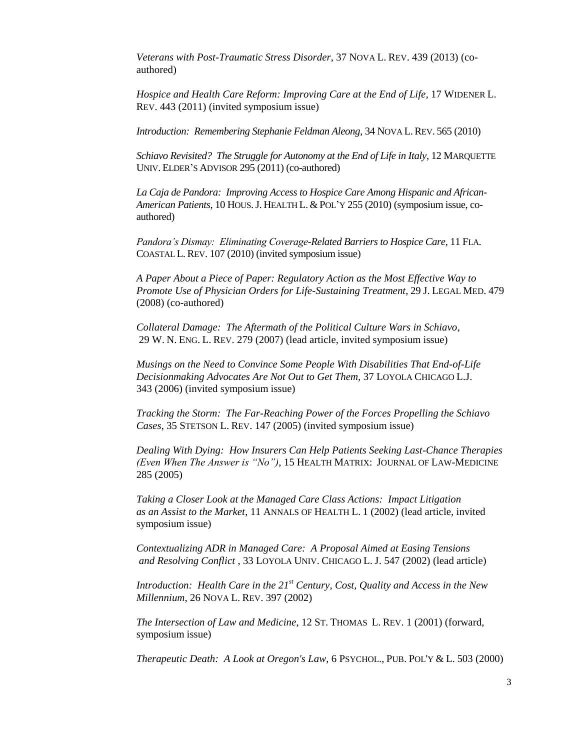*Veterans with Post-Traumatic Stress Disorder*, 37 NOVA L. REV. 439 (2013) (coauthored)

*Hospice and Health Care Reform: Improving Care at the End of Life*, 17 WIDENER L. REV. 443 (2011) (invited symposium issue)

*Introduction: Remembering Stephanie Feldman Aleong*, 34 NOVA L.REV. 565 (2010)

*Schiavo Revisited? The Struggle for Autonomy at the End of Life in Italy*, 12 MARQUETTE UNIV. ELDER'S ADVISOR 295 (2011) (co-authored)

*La Caja de Pandora: Improving Access to Hospice Care Among Hispanic and African-American Patients*, 10 HOUS.J. HEALTH L. & POL'Y 255 (2010) (symposium issue, coauthored)

*Pandora's Dismay: Eliminating Coverage-Related Barriers to Hospice Care*, 11 FLA. COASTAL L.REV. 107 (2010) (invited symposium issue)

*A Paper About a Piece of Paper: Regulatory Action as the Most Effective Way to Promote Use of Physician Orders for Life-Sustaining Treatment*, 29 J. LEGAL MED. 479 (2008) (co-authored)

*Collateral Damage: The Aftermath of the Political Culture Wars in Schiavo*, 29 W. N. ENG. L. REV. 279 (2007) (lead article, invited symposium issue)

*Musings on the Need to Convince Some People With Disabilities That End-of-Life Decisionmaking Advocates Are Not Out to Get Them,* 37 LOYOLA CHICAGO L.J. 343 (2006) (invited symposium issue)

*Tracking the Storm: The Far-Reaching Power of the Forces Propelling the Schiavo Cases*, 35 STETSON L. REV. 147 (2005) (invited symposium issue)

*Dealing With Dying: How Insurers Can Help Patients Seeking Last-Chance Therapies (Even When The Answer is "No")*, 15 HEALTH MATRIX: JOURNAL OF LAW-MEDICINE 285 (2005)

*Taking a Closer Look at the Managed Care Class Actions: Impact Litigation as an Assist to the Market*, 11 ANNALS OF HEALTH L. 1 (2002) (lead article, invited symposium issue)

*Contextualizing ADR in Managed Care: A Proposal Aimed at Easing Tensions and Resolving Conflict* , 33 LOYOLA UNIV. CHICAGO L. J. 547 (2002) (lead article)

*Introduction: Health Care in the 21st Century, Cost, Quality and Access in the New Millennium*, 26 NOVA L. REV. 397 (2002)

*The Intersection of Law and Medicine*, 12 ST. THOMAS L. REV. 1 (2001) (forward, symposium issue)

*Therapeutic Death: A Look at Oregon's Law*, 6 PSYCHOL., PUB. POL'Y & L. 503 (2000)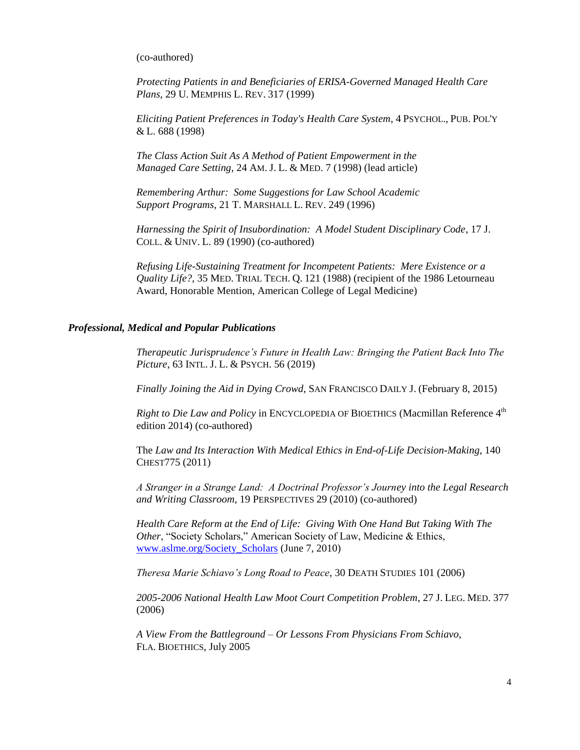(co-authored)

*Protecting Patients in and Beneficiaries of ERISA-Governed Managed Health Care Plans*, 29 U. MEMPHIS L. REV. 317 (1999)

*Eliciting Patient Preferences in Today's Health Care System*, 4 PSYCHOL., PUB. POL'Y & L. 688 (1998)

*The Class Action Suit As A Method of Patient Empowerment in the Managed Care Setting*, 24 AM. J. L. & MED. 7 (1998) (lead article)

*Remembering Arthur: Some Suggestions for Law School Academic Support Programs*, 21 T. MARSHALL L. REV. 249 (1996)

*Harnessing the Spirit of Insubordination: A Model Student Disciplinary Code*, 17 J. COLL. & UNIV. L. 89 (1990) (co-authored)

*Refusing Life-Sustaining Treatment for Incompetent Patients: Mere Existence or a Quality Life?*, 35 MED. TRIAL TECH. Q. 121 (1988) (recipient of the 1986 Letourneau Award, Honorable Mention, American College of Legal Medicine)

### *Professional, Medical and Popular Publications*

*Therapeutic Jurisprudence's Future in Health Law: Bringing the Patient Back Into The Picture*, 63 INTL. J. L. & PSYCH. 56 (2019)

*Finally Joining the Aid in Dying Crowd*, SAN FRANCISCO DAILY J. (February 8, 2015)

*Right to Die Law and Policy* in ENCYCLOPEDIA OF BIOETHICS (Macmillan Reference 4<sup>th</sup> edition 2014) (co-authored)

The *Law and Its Interaction With Medical Ethics in End-of-Life Decision-Making*, 140 CHEST775 (2011)

*A Stranger in a Strange Land: A Doctrinal Professor's Journey into the Legal Research and Writing Classroom*, 19 PERSPECTIVES 29 (2010) (co-authored)

*Health Care Reform at the End of Life: Giving With One Hand But Taking With The Other*, "Society Scholars," American Society of Law, Medicine & Ethics, [www.aslme.org/Society\\_Scholars](http://www.aslme.org/Society_Scholars) (June 7, 2010)

*Theresa Marie Schiavo's Long Road to Peace*, 30 DEATH STUDIES 101 (2006)

*2005-2006 National Health Law Moot Court Competition Problem*, 27 J. LEG. MED. 377 (2006)

*A View From the Battleground – Or Lessons From Physicians From Schiavo*, FLA. BIOETHICS, July 2005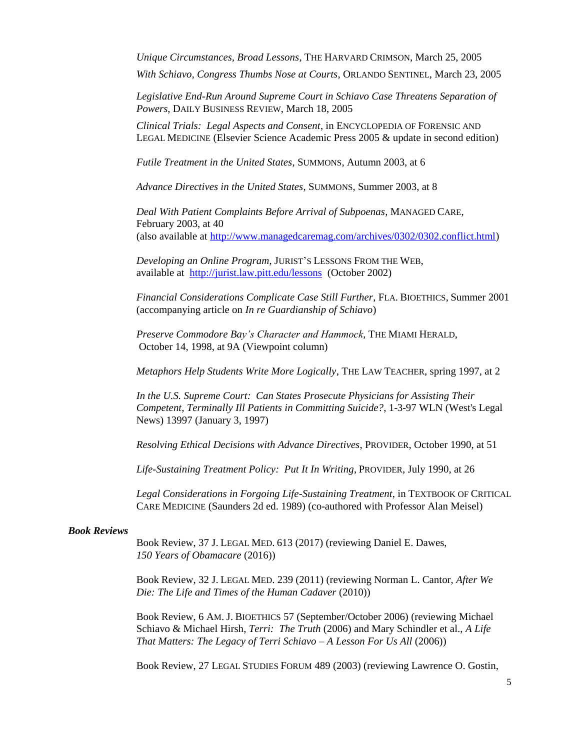*Unique Circumstances, Broad Lessons*, THE HARVARD CRIMSON, March 25, 2005

*With Schiavo, Congress Thumbs Nose at Courts*, ORLANDO SENTINEL, March 23, 2005

*Legislative End-Run Around Supreme Court in Schiavo Case Threatens Separation of Powers*, DAILY BUSINESS REVIEW, March 18, 2005

*Clinical Trials: Legal Aspects and Consent*, in ENCYCLOPEDIA OF FORENSIC AND LEGAL MEDICINE (Elsevier Science Academic Press 2005 & update in second edition)

*Futile Treatment in the United States*, SUMMONS, Autumn 2003, at 6

*Advance Directives in the United States*, SUMMONS, Summer 2003, at 8

*Deal With Patient Complaints Before Arrival of Subpoenas*, MANAGED CARE, February 2003, at 40 (also available at [http://www.managedcaremag.com/archives/0302/0302.conflict.html\)](http://www.managedcaremag.com/archives/0302/0302.conflict.html)

*Developing an Online Program*, JURIST'S LESSONS FROM THE WEB, available at <http://jurist.law.pitt.edu/lessons>(October 2002)

*Financial Considerations Complicate Case Still Further*, FLA. BIOETHICS, Summer 2001 (accompanying article on *In re Guardianship of Schiavo*)

*Preserve Commodore Bay's Character and Hammock*, THE MIAMI HERALD, October 14, 1998, at 9A (Viewpoint column)

*Metaphors Help Students Write More Logically*, THE LAW TEACHER, spring 1997, at 2

*In the U.S. Supreme Court: Can States Prosecute Physicians for Assisting Their Competent, Terminally Ill Patients in Committing Suicide?*, 1-3-97 WLN (West's Legal News) 13997 (January 3, 1997)

*Resolving Ethical Decisions with Advance Directives*, PROVIDER, October 1990, at 51

*Life-Sustaining Treatment Policy: Put It In Writing*, PROVIDER, July 1990, at 26

*Legal Considerations in Forgoing Life-Sustaining Treatment*, in TEXTBOOK OF CRITICAL CARE MEDICINE (Saunders 2d ed. 1989) (co-authored with Professor Alan Meisel)

#### *Book Reviews*

Book Review, 37 J. LEGAL MED. 613 (2017) (reviewing Daniel E. Dawes, *150 Years of Obamacare* (2016))

Book Review, 32 J. LEGAL MED. 239 (2011) (reviewing Norman L. Cantor, *After We Die: The Life and Times of the Human Cadaver* (2010))

Book Review, 6 AM. J. BIOETHICS 57 (September/October 2006) (reviewing Michael Schiavo & Michael Hirsh, *Terri: The Truth* (2006) and Mary Schindler et al., *A Life That Matters: The Legacy of Terri Schiavo – A Lesson For Us All* (2006))

Book Review, 27 LEGAL STUDIES FORUM 489 (2003) (reviewing Lawrence O. Gostin,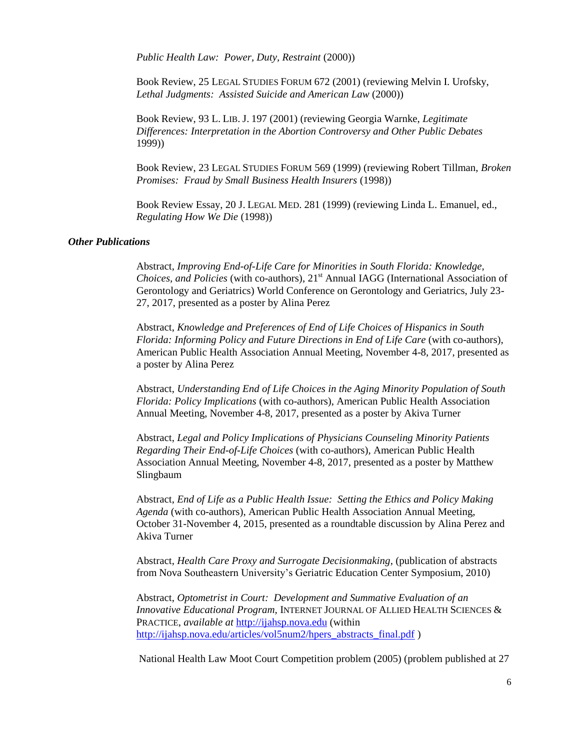*Public Health Law: Power, Duty, Restraint* (2000))

Book Review, 25 LEGAL STUDIES FORUM 672 (2001) (reviewing Melvin I. Urofsky, *Lethal Judgments: Assisted Suicide and American Law* (2000))

Book Review, 93 L. LIB. J. 197 (2001) (reviewing Georgia Warnke, *Legitimate Differences: Interpretation in the Abortion Controversy and Other Public Debates* 1999))

Book Review, 23 LEGAL STUDIES FORUM 569 (1999) (reviewing Robert Tillman, *Broken Promises: Fraud by Small Business Health Insurers* (1998))

Book Review Essay, 20 J. LEGAL MED. 281 (1999) (reviewing Linda L. Emanuel, ed., *Regulating How We Die* (1998))

# *Other Publications*

Abstract, *Improving End-of-Life Care for Minorities in South Florida: Knowledge, Choices, and Policies* (with co-authors), 21<sup>st</sup> Annual IAGG (International Association of Gerontology and Geriatrics) World Conference on Gerontology and Geriatrics, July 23- 27, 2017, presented as a poster by Alina Perez

Abstract, *Knowledge and Preferences of End of Life Choices of Hispanics in South Florida: Informing Policy and Future Directions in End of Life Care* (with co-authors), American Public Health Association Annual Meeting, November 4-8, 2017, presented as a poster by Alina Perez

Abstract, *Understanding End of Life Choices in the Aging Minority Population of South Florida: Policy Implications* (with co-authors), American Public Health Association Annual Meeting, November 4-8, 2017, presented as a poster by Akiva Turner

Abstract, *Legal and Policy Implications of Physicians Counseling Minority Patients Regarding Their End-of-Life Choices* (with co-authors), American Public Health Association Annual Meeting, November 4-8, 2017, presented as a poster by Matthew Slingbaum

Abstract, *End of Life as a Public Health Issue: Setting the Ethics and Policy Making Agenda* (with co-authors), American Public Health Association Annual Meeting, October 31-November 4, 2015, presented as a roundtable discussion by Alina Perez and Akiva Turner

Abstract, *Health Care Proxy and Surrogate Decisionmaking*, (publication of abstracts from Nova Southeastern University's Geriatric Education Center Symposium, 2010)

Abstract, *Optometrist in Court: Development and Summative Evaluation of an Innovative Educational Program,* INTERNET JOURNAL OF ALLIED HEALTH SCIENCES & PRACTICE, *available at* [http://ijahsp.nova.edu](http://ijahsp.nova.edu/) (within [http://ijahsp.nova.edu/articles/vol5num2/hpers\\_abstracts\\_final.pdf](http://ijahsp.nova.edu/articles/vol5num2/hpers_abstracts_final.pdf) )

National Health Law Moot Court Competition problem (2005) (problem published at 27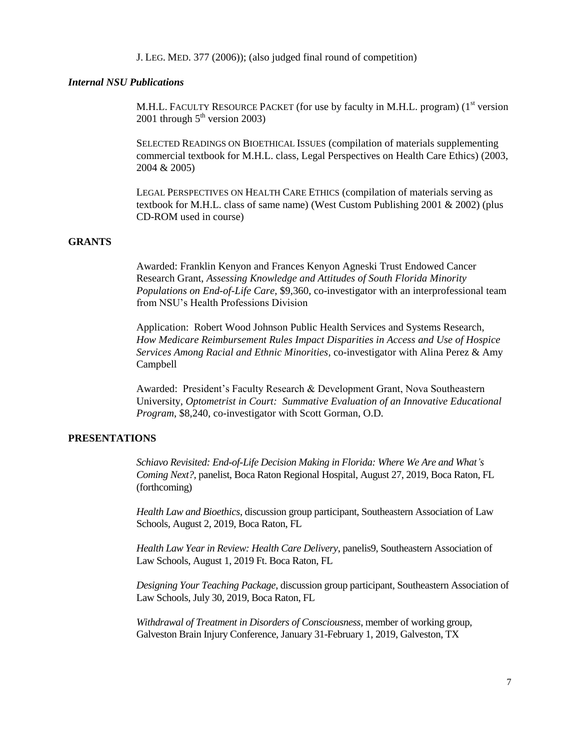J. LEG. MED. 377 (2006)); (also judged final round of competition)

### *Internal NSU Publications*

M.H.L. FACULTY RESOURCE PACKET (for use by faculty in M.H.L. program) ( $1<sup>st</sup>$  version 2001 through  $5<sup>th</sup>$  version 2003)

SELECTED READINGS ON BIOETHICAL ISSUES (compilation of materials supplementing commercial textbook for M.H.L. class, Legal Perspectives on Health Care Ethics) (2003, 2004 & 2005)

LEGAL PERSPECTIVES ON HEALTH CARE ETHICS (compilation of materials serving as textbook for M.H.L. class of same name) (West Custom Publishing 2001 & 2002) (plus CD-ROM used in course)

# **GRANTS**

Awarded: Franklin Kenyon and Frances Kenyon Agneski Trust Endowed Cancer Research Grant, *Assessing Knowledge and Attitudes of South Florida Minority Populations on End-of-Life Care*, \$9,360, co-investigator with an interprofessional team from NSU's Health Professions Division

Application: Robert Wood Johnson Public Health Services and Systems Research, *How Medicare Reimbursement Rules Impact Disparities in Access and Use of Hospice Services Among Racial and Ethnic Minorities*, co-investigator with Alina Perez & Amy Campbell

Awarded: President's Faculty Research & Development Grant, Nova Southeastern University, *Optometrist in Court: Summative Evaluation of an Innovative Educational Program*, \$8,240, co-investigator with Scott Gorman, O.D.

# **PRESENTATIONS**

*Schiavo Revisited: End-of-Life Decision Making in Florida: Where We Are and What's Coming Next?,* panelist, Boca Raton Regional Hospital, August 27, 2019, Boca Raton, FL (forthcoming)

*Health Law and Bioethics*, discussion group participant, Southeastern Association of Law Schools, August 2, 2019, Boca Raton, FL

*Health Law Year in Review: Health Care Delivery*, panelis9, Southeastern Association of Law Schools, August 1, 2019 Ft. Boca Raton, FL

*Designing Your Teaching Package*, discussion group participant, Southeastern Association of Law Schools, July 30, 2019, Boca Raton, FL

*Withdrawal of Treatment in Disorders of Consciousness*, member of working group, Galveston Brain Injury Conference, January 31-February 1, 2019, Galveston, TX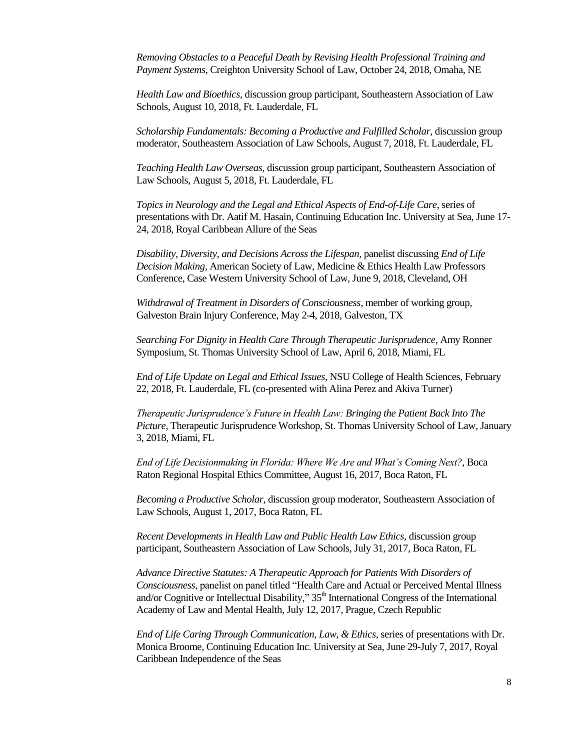*Removing Obstacles to a Peaceful Death by Revising Health Professional Training and Payment Systems*, Creighton University School of Law, October 24, 2018, Omaha, NE

*Health Law and Bioethics*, discussion group participant, Southeastern Association of Law Schools, August 10, 2018, Ft. Lauderdale, FL

*Scholarship Fundamentals: Becoming a Productive and Fulfilled Scholar*, discussion group moderator, Southeastern Association of Law Schools, August 7, 2018, Ft. Lauderdale, FL

*Teaching Health Law Overseas*, discussion group participant, Southeastern Association of Law Schools, August 5, 2018, Ft. Lauderdale, FL

*Topics in Neurology and the Legal and Ethical Aspects of End-of-Life Care*, series of presentations with Dr. Aatif M. Hasain, Continuing Education Inc. University at Sea, June 17- 24, 2018, Royal Caribbean Allure of the Seas

*Disability, Diversity, and Decisions Across the Lifespan*, panelist discussing *End of Life Decision Making,* American Society of Law, Medicine & Ethics Health Law Professors Conference, Case Western University School of Law, June 9, 2018, Cleveland, OH

*Withdrawal of Treatment in Disorders of Consciousness*, member of working group, Galveston Brain Injury Conference, May 2-4, 2018, Galveston, TX

*Searching For Dignity in Health Care Through Therapeutic Jurisprudence*, Amy Ronner Symposium, St. Thomas University School of Law, April 6, 2018, Miami, FL

*End of Life Update on Legal and Ethical Issues*, NSU College of Health Sciences, February 22, 2018, Ft. Lauderdale, FL (co-presented with Alina Perez and Akiva Turner)

*Therapeutic Jurisprudence's Future in Health Law: Bringing the Patient Back Into The Picture*, Therapeutic Jurisprudence Workshop, St. Thomas University School of Law, January 3, 2018, Miami, FL

*End of Life Decisionmaking in Florida: Where We Are and What's Coming Next?*, Boca Raton Regional Hospital Ethics Committee, August 16, 2017, Boca Raton, FL

*Becoming a Productive Scholar*, discussion group moderator, Southeastern Association of Law Schools, August 1, 2017, Boca Raton, FL

*Recent Developments in Health Law and Public Health Law Ethics,* discussion group participant, Southeastern Association of Law Schools, July 31, 2017, Boca Raton, FL

*Advance Directive Statutes: A Therapeutic Approach for Patients With Disorders of Consciousness*, panelist on panel titled "Health Care and Actual or Perceived Mental Illness and/or Cognitive or Intellectual Disability," 35<sup>th</sup> International Congress of the International Academy of Law and Mental Health, July 12, 2017, Prague, Czech Republic

*End of Life Caring Through Communication, Law, & Ethics*, series of presentations with Dr. Monica Broome, Continuing Education Inc. University at Sea, June 29-July 7, 2017, Royal Caribbean Independence of the Seas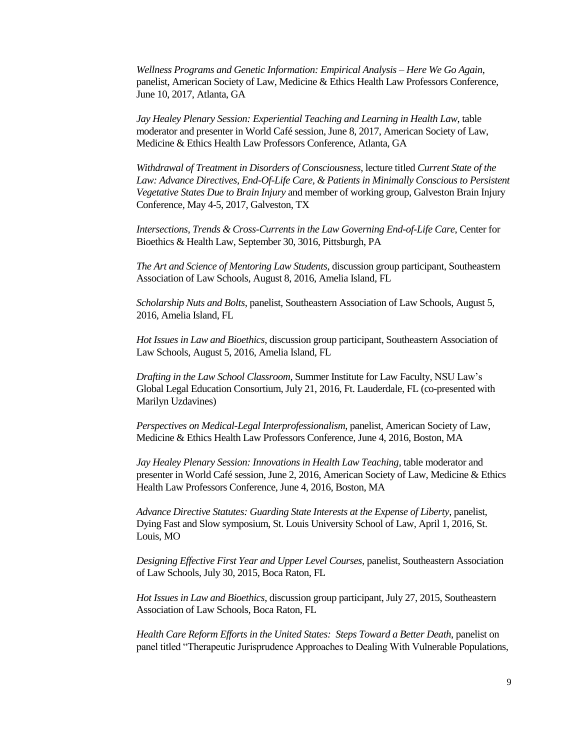*Wellness Programs and Genetic Information: Empirical Analysis – Here We Go Again*, panelist, American Society of Law, Medicine & Ethics Health Law Professors Conference, June 10, 2017, Atlanta, GA

*Jay Healey Plenary Session: Experiential Teaching and Learning in Health Law*, table moderator and presenter in World Café session, June 8, 2017, American Society of Law, Medicine & Ethics Health Law Professors Conference, Atlanta, GA

*Withdrawal of Treatment in Disorders of Consciousness*, lecture titled *Current State of the*  Law: Advance Directives, End-Of-Life Care, & Patients in Minimally Conscious to Persistent *Vegetative States Due to Brain Injury* and member of working group, Galveston Brain Injury Conference, May 4-5, 2017, Galveston, TX

*Intersections, Trends & Cross-Currents in the Law Governing End-of-Life Care*, Center for Bioethics & Health Law, September 30, 3016, Pittsburgh, PA

*The Art and Science of Mentoring Law Students*, discussion group participant, Southeastern Association of Law Schools, August 8, 2016, Amelia Island, FL

*Scholarship Nuts and Bolts*, panelist, Southeastern Association of Law Schools, August 5, 2016, Amelia Island, FL

*Hot Issues in Law and Bioethics*, discussion group participant, Southeastern Association of Law Schools, August 5, 2016, Amelia Island, FL

*Drafting in the Law School Classroom*, Summer Institute for Law Faculty, NSU Law's Global Legal Education Consortium, July 21, 2016, Ft. Lauderdale, FL (co-presented with Marilyn Uzdavines)

*Perspectives on Medical-Legal Interprofessionalism*, panelist, American Society of Law, Medicine & Ethics Health Law Professors Conference, June 4, 2016, Boston, MA

*Jay Healey Plenary Session: Innovations in Health Law Teaching*, table moderator and presenter in World Café session, June 2, 2016, American Society of Law, Medicine & Ethics Health Law Professors Conference, June 4, 2016, Boston, MA

*Advance Directive Statutes: Guarding State Interests at the Expense of Liberty*, panelist, Dying Fast and Slow symposium, St. Louis University School of Law, April 1, 2016, St. Louis, MO

*Designing Effective First Year and Upper Level Courses*, panelist, Southeastern Association of Law Schools, July 30, 2015, Boca Raton, FL

*Hot Issues in Law and Bioethics*, discussion group participant, July 27, 2015, Southeastern Association of Law Schools, Boca Raton, FL

*Health Care Reform Efforts in the United States: Steps Toward a Better Death*, panelist on panel titled "Therapeutic Jurisprudence Approaches to Dealing With Vulnerable Populations,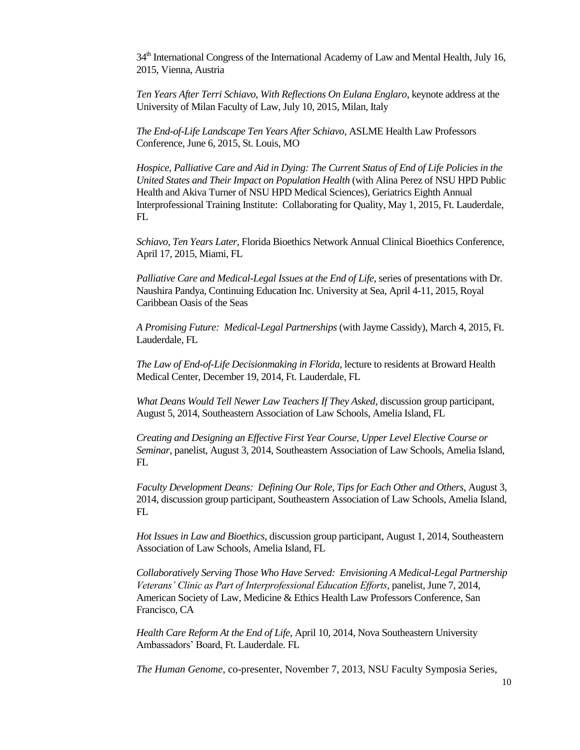34<sup>th</sup> International Congress of the International Academy of Law and Mental Health, July 16, 2015, Vienna, Austria

*Ten Years After Terri Schiavo, With Reflections On Eulana Englaro*, keynote address at the University of Milan Faculty of Law, July 10, 2015, Milan, Italy

*The End-of-Life Landscape Ten Years After Schiavo*, ASLME Health Law Professors Conference, June 6, 2015, St. Louis, MO

*Hospice, Palliative Care and Aid in Dying: The Current Status of End of Life Policies in the United States and Their Impact on Population Health* (with Alina Perez of NSU HPD Public Health and Akiva Turner of NSU HPD Medical Sciences), Geriatrics Eighth Annual Interprofessional Training Institute: Collaborating for Quality, May 1, 2015, Ft. Lauderdale, FL

*Schiavo, Ten Years Later*, Florida Bioethics Network Annual Clinical Bioethics Conference, April 17, 2015, Miami, FL

*Palliative Care and Medical-Legal Issues at the End of Life*, series of presentations with Dr. Naushira Pandya, Continuing Education Inc. University at Sea, April 4-11, 2015, Royal Caribbean Oasis of the Seas

*A Promising Future: Medical-Legal Partnerships* (with Jayme Cassidy), March 4, 2015, Ft. Lauderdale, FL

*The Law of End-of-Life Decisionmaking in Florida*, lecture to residents at Broward Health Medical Center, December 19, 2014, Ft. Lauderdale, FL

*What Deans Would Tell Newer Law Teachers If They Asked*, discussion group participant, August 5, 2014, Southeastern Association of Law Schools, Amelia Island, FL

*Creating and Designing an Effective First Year Course, Upper Level Elective Course or Seminar*, panelist, August 3, 2014, Southeastern Association of Law Schools, Amelia Island, FL

*Faculty Development Deans: Defining Our Role, Tips for Each Other and Others*, August 3, 2014, discussion group participant, Southeastern Association of Law Schools, Amelia Island, FL

*Hot Issues in Law and Bioethics*, discussion group participant, August 1, 2014, Southeastern Association of Law Schools, Amelia Island, FL

*Collaboratively Serving Those Who Have Served: Envisioning A Medical-Legal Partnership Veterans' Clinic as Part of Interprofessional Education Efforts*, panelist, June 7, 2014, American Society of Law, Medicine & Ethics Health Law Professors Conference, San Francisco, CA

*Health Care Reform At the End of Life*, April 10, 2014, Nova Southeastern University Ambassadors' Board, Ft. Lauderdale. FL

*The Human Genome*, co-presenter, November 7, 2013, NSU Faculty Symposia Series,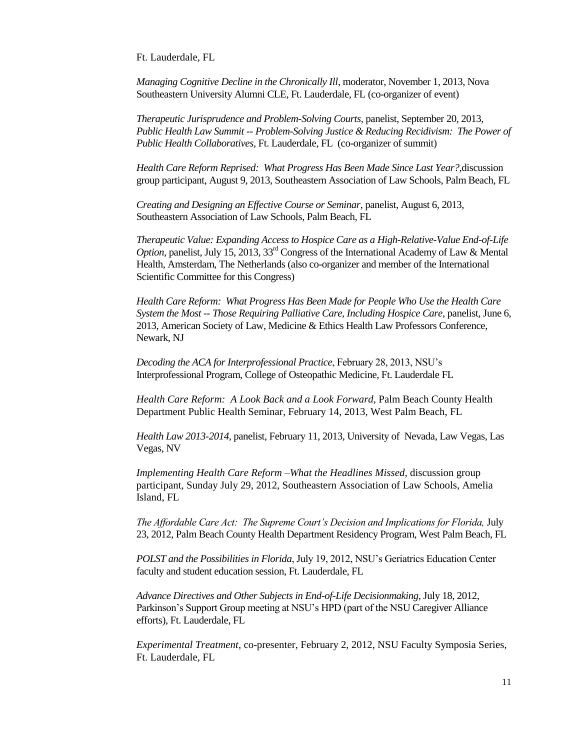Ft. Lauderdale, FL

*Managing Cognitive Decline in the Chronically Ill*, moderator, November 1, 2013, Nova Southeastern University Alumni CLE, Ft. Lauderdale, FL (co-organizer of event)

*Therapeutic Jurisprudence and Problem-Solving Courts*, panelist, September 20, 2013, *Public Health Law Summit -- Problem-Solving Justice & Reducing Recidivism: The Power of Public Health Collaboratives*, Ft. Lauderdale, FL (co-organizer of summit)

*Health Care Reform Reprised: What Progress Has Been Made Since Last Year?,*discussion group participant, August 9, 2013, Southeastern Association of Law Schools, Palm Beach, FL

*Creating and Designing an Effective Course or Seminar*, panelist, August 6, 2013, Southeastern Association of Law Schools, Palm Beach, FL

*Therapeutic Value: Expanding Access to Hospice Care as a High-Relative-Value End-of-Life Option*, panelist, July 15, 2013, 33<sup>rd</sup> Congress of the International Academy of Law & Mental Health, Amsterdam, The Netherlands (also co-organizer and member of the International Scientific Committee for this Congress)

*Health Care Reform: What Progress Has Been Made for People Who Use the Health Care System the Most -- Those Requiring Palliative Care, Including Hospice Care*, panelist, June 6, 2013, American Society of Law, Medicine & Ethics Health Law Professors Conference, Newark, NJ

*Decoding the ACA for Interprofessional Practice*, February 28, 2013, NSU's Interprofessional Program, College of Osteopathic Medicine, Ft. Lauderdale FL

*Health Care Reform: A Look Back and a Look Forward*, Palm Beach County Health Department Public Health Seminar, February 14, 2013, West Palm Beach, FL

*Health Law 2013-2014*, panelist, February 11, 2013, University of Nevada, Law Vegas, Las Vegas, NV

*Implementing Health Care Reform –What the Headlines Missed*, discussion group participant, Sunday July 29, 2012, Southeastern Association of Law Schools, Amelia Island, FL

*The Affordable Care Act: The Supreme Court's Decision and Implications for Florida,* July 23, 2012, Palm Beach County Health Department Residency Program, West Palm Beach, FL

*POLST and the Possibilities in Florida*, July 19, 2012, NSU's Geriatrics Education Center faculty and student education session, Ft. Lauderdale, FL

*Advance Directives and Other Subjects in End-of-Life Decisionmaking*, July 18, 2012, Parkinson's Support Group meeting at NSU's HPD (part of the NSU Caregiver Alliance efforts), Ft. Lauderdale, FL

*Experimental Treatment*, co-presenter, February 2, 2012, NSU Faculty Symposia Series, Ft. Lauderdale, FL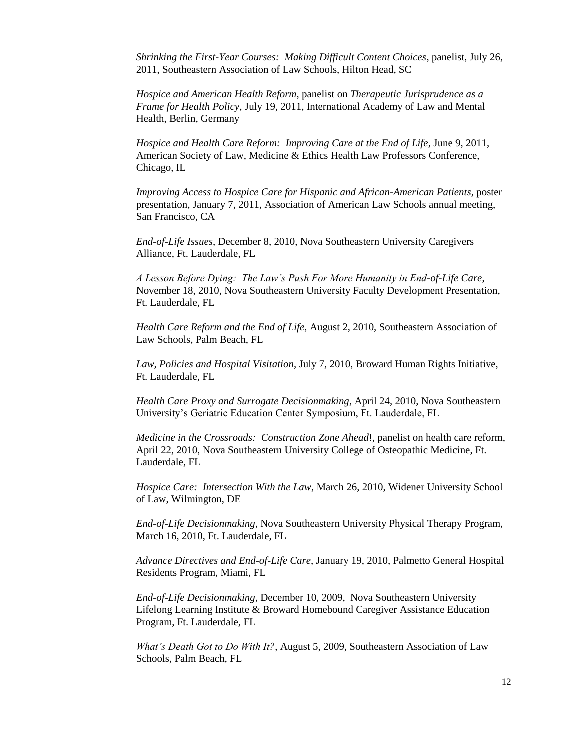*Shrinking the First-Year Courses: Making Difficult Content Choices*, panelist, July 26, 2011, Southeastern Association of Law Schools, Hilton Head, SC

*Hospice and American Health Reform*, panelist on *Therapeutic Jurisprudence as a Frame for Health Policy*, July 19, 2011, International Academy of Law and Mental Health, Berlin, Germany

*Hospice and Health Care Reform: Improving Care at the End of Life*, June 9, 2011, American Society of Law, Medicine & Ethics Health Law Professors Conference, Chicago, IL

*Improving Access to Hospice Care for Hispanic and African-American Patients,* poster presentation, January 7, 2011, Association of American Law Schools annual meeting, San Francisco, CA

*End-of-Life Issues*, December 8, 2010, Nova Southeastern University Caregivers Alliance, Ft. Lauderdale, FL

*A Lesson Before Dying: The Law's Push For More Humanity in End-of-Life Care*, November 18, 2010, Nova Southeastern University Faculty Development Presentation, Ft. Lauderdale, FL

*Health Care Reform and the End of Life,* August 2, 2010, Southeastern Association of Law Schools, Palm Beach, FL

*Law, Policies and Hospital Visitation*, July 7, 2010, Broward Human Rights Initiative, Ft. Lauderdale, FL

*Health Care Proxy and Surrogate Decisionmaking*, April 24, 2010, Nova Southeastern University's Geriatric Education Center Symposium, Ft. Lauderdale, FL

*Medicine in the Crossroads: Construction Zone Ahead*!, panelist on health care reform, April 22, 2010, Nova Southeastern University College of Osteopathic Medicine, Ft. Lauderdale, FL

*Hospice Care: Intersection With the Law*, March 26, 2010, Widener University School of Law, Wilmington, DE

*End-of-Life Decisionmaking*, Nova Southeastern University Physical Therapy Program, March 16, 2010, Ft. Lauderdale, FL

*Advance Directives and End-of-Life Care*, January 19, 2010, Palmetto General Hospital Residents Program, Miami, FL

*End-of-Life Decisionmaking*, December 10, 2009, Nova Southeastern University Lifelong Learning Institute & Broward Homebound Caregiver Assistance Education Program, Ft. Lauderdale, FL

*What's Death Got to Do With It?*, August 5, 2009, Southeastern Association of Law Schools, Palm Beach, FL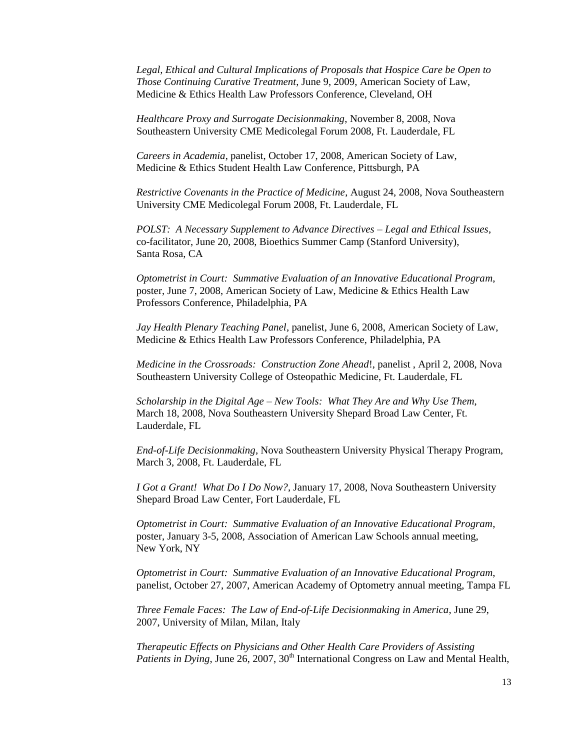*Legal, Ethical and Cultural Implications of Proposals that Hospice Care be Open to Those Continuing Curative Treatment*, June 9, 2009, American Society of Law, Medicine & Ethics Health Law Professors Conference, Cleveland, OH

*Healthcare Proxy and Surrogate Decisionmaking*, November 8, 2008, Nova Southeastern University CME Medicolegal Forum 2008, Ft. Lauderdale, FL

*Careers in Academia*, panelist, October 17, 2008, American Society of Law, Medicine & Ethics Student Health Law Conference, Pittsburgh, PA

*Restrictive Covenants in the Practice of Medicine*, August 24, 2008, Nova Southeastern University CME Medicolegal Forum 2008, Ft. Lauderdale, FL

*POLST: A Necessary Supplement to Advance Directives – Legal and Ethical Issues*, co-facilitator, June 20, 2008, Bioethics Summer Camp (Stanford University), Santa Rosa, CA

*Optometrist in Court: Summative Evaluation of an Innovative Educational Program*, poster, June 7, 2008, American Society of Law, Medicine & Ethics Health Law Professors Conference, Philadelphia, PA

*Jay Health Plenary Teaching Panel*, panelist, June 6, 2008, American Society of Law, Medicine & Ethics Health Law Professors Conference, Philadelphia, PA

*Medicine in the Crossroads: Construction Zone Ahead*!, panelist , April 2, 2008, Nova Southeastern University College of Osteopathic Medicine, Ft. Lauderdale, FL

*Scholarship in the Digital Age – New Tools: What They Are and Why Use Them*, March 18, 2008, Nova Southeastern University Shepard Broad Law Center, Ft. Lauderdale, FL

*End-of-Life Decisionmaking*, Nova Southeastern University Physical Therapy Program, March 3, 2008, Ft. Lauderdale, FL

*I Got a Grant! What Do I Do Now?*, January 17, 2008, Nova Southeastern University Shepard Broad Law Center, Fort Lauderdale, FL

*Optometrist in Court: Summative Evaluation of an Innovative Educational Program*, poster, January 3-5, 2008, Association of American Law Schools annual meeting, New York, NY

*Optometrist in Court: Summative Evaluation of an Innovative Educational Program*, panelist, October 27, 2007, American Academy of Optometry annual meeting, Tampa FL

*Three Female Faces: The Law of End-of-Life Decisionmaking in America*, June 29, 2007, University of Milan, Milan, Italy

*Therapeutic Effects on Physicians and Other Health Care Providers of Assisting Patients in Dying*, June 26, 2007, 30<sup>th</sup> International Congress on Law and Mental Health,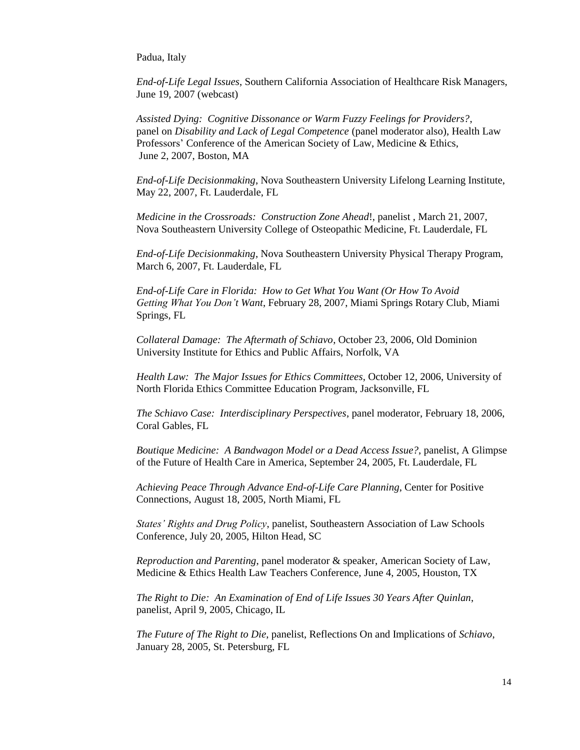Padua, Italy

*End-of-Life Legal Issues*, Southern California Association of Healthcare Risk Managers, June 19, 2007 (webcast)

*Assisted Dying: Cognitive Dissonance or Warm Fuzzy Feelings for Providers?*, panel on *Disability and Lack of Legal Competence* (panel moderator also), Health Law Professors' Conference of the American Society of Law, Medicine & Ethics, June 2, 2007, Boston, MA

*End-of-Life Decisionmaking*, Nova Southeastern University Lifelong Learning Institute, May 22, 2007, Ft. Lauderdale, FL

*Medicine in the Crossroads: Construction Zone Ahead*!, panelist , March 21, 2007, Nova Southeastern University College of Osteopathic Medicine, Ft. Lauderdale, FL

*End-of-Life Decisionmaking*, Nova Southeastern University Physical Therapy Program, March 6, 2007, Ft. Lauderdale, FL

*End-of-Life Care in Florida: How to Get What You Want (Or How To Avoid Getting What You Don't Want*, February 28, 2007, Miami Springs Rotary Club, Miami Springs, FL

*Collateral Damage: The Aftermath of Schiavo*, October 23, 2006, Old Dominion University Institute for Ethics and Public Affairs, Norfolk, VA

*Health Law: The Major Issues for Ethics Committees*, October 12, 2006, University of North Florida Ethics Committee Education Program, Jacksonville, FL

*The Schiavo Case: Interdisciplinary Perspectives*, panel moderator, February 18, 2006, Coral Gables, FL

*Boutique Medicine: A Bandwagon Model or a Dead Access Issue?*, panelist, A Glimpse of the Future of Health Care in America, September 24, 2005, Ft. Lauderdale, FL

*Achieving Peace Through Advance End-of-Life Care Planning*, Center for Positive Connections, August 18, 2005, North Miami, FL

*States' Rights and Drug Policy*, panelist, Southeastern Association of Law Schools Conference, July 20, 2005, Hilton Head, SC

*Reproduction and Parenting*, panel moderator & speaker, American Society of Law, Medicine & Ethics Health Law Teachers Conference, June 4, 2005, Houston, TX

*The Right to Die: An Examination of End of Life Issues 30 Years After Quinlan*, panelist, April 9, 2005, Chicago, IL

*The Future of The Right to Die*, panelist, Reflections On and Implications of *Schiavo*, January 28, 2005, St. Petersburg, FL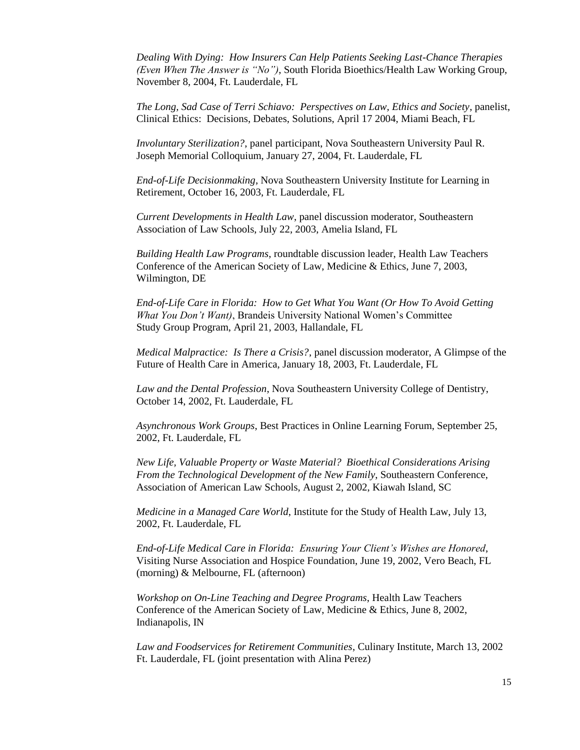*Dealing With Dying: How Insurers Can Help Patients Seeking Last-Chance Therapies (Even When The Answer is "No")*, South Florida Bioethics/Health Law Working Group, November 8, 2004, Ft. Lauderdale, FL

*The Long, Sad Case of Terri Schiavo: Perspectives on Law, Ethics and Society*, panelist, Clinical Ethics: Decisions, Debates, Solutions, April 17 2004, Miami Beach, FL

*Involuntary Sterilization?*, panel participant, Nova Southeastern University Paul R. Joseph Memorial Colloquium, January 27, 2004, Ft. Lauderdale, FL

*End-of-Life Decisionmaking*, Nova Southeastern University Institute for Learning in Retirement, October 16, 2003, Ft. Lauderdale, FL

*Current Developments in Health Law*, panel discussion moderator, Southeastern Association of Law Schools, July 22, 2003, Amelia Island, FL

*Building Health Law Programs*, roundtable discussion leader, Health Law Teachers Conference of the American Society of Law, Medicine & Ethics, June 7, 2003, Wilmington, DE

*End-of-Life Care in Florida: How to Get What You Want (Or How To Avoid Getting What You Don't Want)*, Brandeis University National Women's Committee Study Group Program, April 21, 2003, Hallandale, FL

*Medical Malpractice: Is There a Crisis?*, panel discussion moderator, A Glimpse of the Future of Health Care in America, January 18, 2003, Ft. Lauderdale, FL

*Law and the Dental Profession*, Nova Southeastern University College of Dentistry, October 14, 2002, Ft. Lauderdale, FL

*Asynchronous Work Groups*, Best Practices in Online Learning Forum, September 25, 2002, Ft. Lauderdale, FL

*New Life, Valuable Property or Waste Material? Bioethical Considerations Arising From the Technological Development of the New Family*, Southeastern Conference, Association of American Law Schools, August 2, 2002, Kiawah Island, SC

*Medicine in a Managed Care World*, Institute for the Study of Health Law, July 13, 2002, Ft. Lauderdale, FL

*End-of-Life Medical Care in Florida: Ensuring Your Client's Wishes are Honored*, Visiting Nurse Association and Hospice Foundation, June 19, 2002, Vero Beach, FL (morning) & Melbourne, FL (afternoon)

*Workshop on On-Line Teaching and Degree Programs*, Health Law Teachers Conference of the American Society of Law, Medicine & Ethics, June 8, 2002, Indianapolis, IN

*Law and Foodservices for Retirement Communities*, Culinary Institute, March 13, 2002 Ft. Lauderdale, FL (joint presentation with Alina Perez)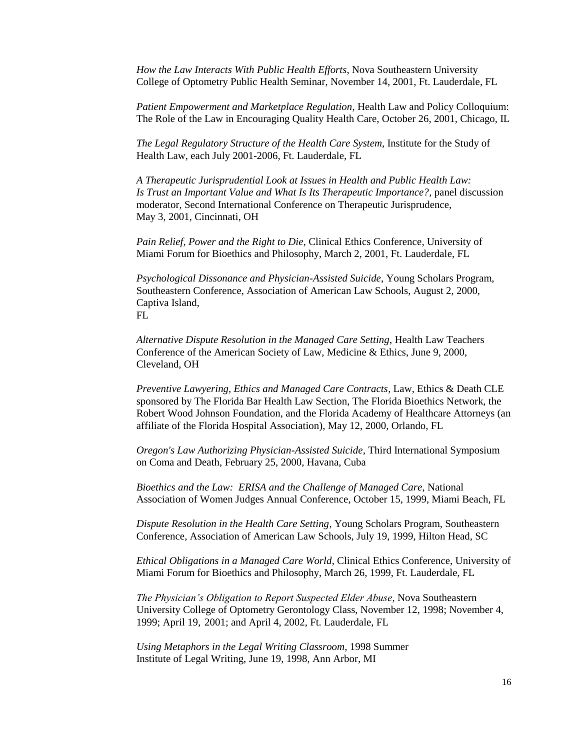*How the Law Interacts With Public Health Efforts*, Nova Southeastern University College of Optometry Public Health Seminar, November 14, 2001, Ft. Lauderdale, FL

*Patient Empowerment and Marketplace Regulation*, Health Law and Policy Colloquium: The Role of the Law in Encouraging Quality Health Care, October 26, 2001, Chicago, IL

*The Legal Regulatory Structure of the Health Care System*, Institute for the Study of Health Law, each July 2001-2006, Ft. Lauderdale, FL

*A Therapeutic Jurisprudential Look at Issues in Health and Public Health Law: Is Trust an Important Value and What Is Its Therapeutic Importance?*, panel discussion moderator, Second International Conference on Therapeutic Jurisprudence, May 3, 2001, Cincinnati, OH

*Pain Relief, Power and the Right to Die*, Clinical Ethics Conference, University of Miami Forum for Bioethics and Philosophy, March 2, 2001, Ft. Lauderdale, FL

*Psychological Dissonance and Physician-Assisted Suicide*, Young Scholars Program, Southeastern Conference, Association of American Law Schools, August 2, 2000, Captiva Island,

FL

*Alternative Dispute Resolution in the Managed Care Setting*, Health Law Teachers Conference of the American Society of Law, Medicine & Ethics, June 9, 2000, Cleveland, OH

*Preventive Lawyering, Ethics and Managed Care Contracts*, Law, Ethics & Death CLE sponsored by The Florida Bar Health Law Section, The Florida Bioethics Network, the Robert Wood Johnson Foundation, and the Florida Academy of Healthcare Attorneys (an affiliate of the Florida Hospital Association), May 12, 2000, Orlando, FL

*Oregon's Law Authorizing Physician-Assisted Suicide*, Third International Symposium on Coma and Death, February 25, 2000, Havana, Cuba

*Bioethics and the Law: ERISA and the Challenge of Managed Care*, National Association of Women Judges Annual Conference, October 15, 1999, Miami Beach, FL

*Dispute Resolution in the Health Care Setting*, Young Scholars Program, Southeastern Conference, Association of American Law Schools, July 19, 1999, Hilton Head, SC

*Ethical Obligations in a Managed Care World*, Clinical Ethics Conference, University of Miami Forum for Bioethics and Philosophy, March 26, 1999, Ft. Lauderdale, FL

*The Physician's Obligation to Report Suspected Elder Abuse*, Nova Southeastern University College of Optometry Gerontology Class, November 12, 1998; November 4, 1999; April 19, 2001; and April 4, 2002, Ft. Lauderdale, FL

*Using Metaphors in the Legal Writing Classroom*, 1998 Summer Institute of Legal Writing, June 19, 1998, Ann Arbor, MI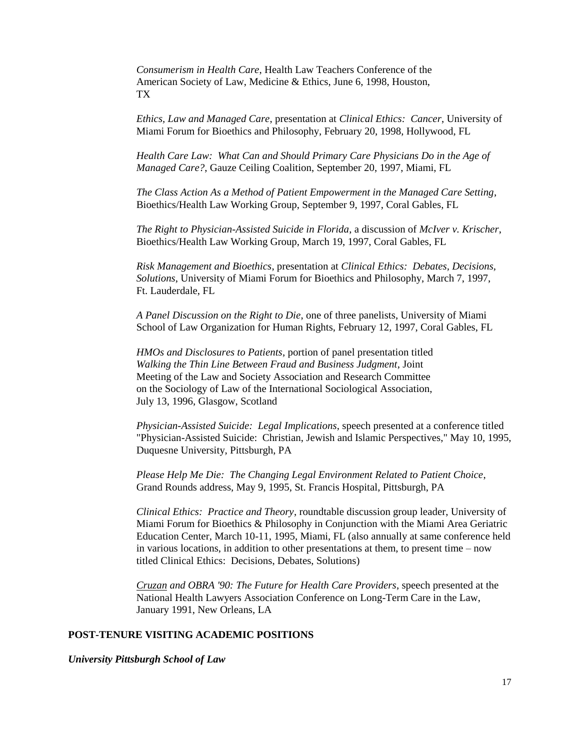*Consumerism in Health Care*, Health Law Teachers Conference of the American Society of Law, Medicine & Ethics, June 6, 1998, Houston, TX

*Ethics, Law and Managed Care*, presentation at *Clinical Ethics: Cancer*, University of Miami Forum for Bioethics and Philosophy, February 20, 1998, Hollywood, FL

*Health Care Law: What Can and Should Primary Care Physicians Do in the Age of Managed Care?*, Gauze Ceiling Coalition, September 20, 1997, Miami, FL

*The Class Action As a Method of Patient Empowerment in the Managed Care Setting*, Bioethics/Health Law Working Group, September 9, 1997, Coral Gables, FL

*The Right to Physician-Assisted Suicide in Florida*, a discussion of *McIver v. Krischer*, Bioethics/Health Law Working Group, March 19, 1997, Coral Gables, FL

*Risk Management and Bioethics*, presentation at *Clinical Ethics: Debates, Decisions, Solutions*, University of Miami Forum for Bioethics and Philosophy, March 7, 1997, Ft. Lauderdale, FL

*A Panel Discussion on the Right to Die*, one of three panelists, University of Miami School of Law Organization for Human Rights, February 12, 1997, Coral Gables, FL

*HMOs and Disclosures to Patients*, portion of panel presentation titled *Walking the Thin Line Between Fraud and Business Judgment*, Joint Meeting of the Law and Society Association and Research Committee on the Sociology of Law of the International Sociological Association, July 13, 1996, Glasgow, Scotland

*Physician-Assisted Suicide: Legal Implications*, speech presented at a conference titled "Physician-Assisted Suicide: Christian, Jewish and Islamic Perspectives," May 10, 1995, Duquesne University, Pittsburgh, PA

*Please Help Me Die: The Changing Legal Environment Related to Patient Choice*, Grand Rounds address, May 9, 1995, St. Francis Hospital, Pittsburgh, PA

*Clinical Ethics: Practice and Theory*, roundtable discussion group leader, University of Miami Forum for Bioethics & Philosophy in Conjunction with the Miami Area Geriatric Education Center, March 10-11, 1995, Miami, FL (also annually at same conference held in various locations, in addition to other presentations at them, to present time  $-$  now titled Clinical Ethics: Decisions, Debates, Solutions)

*Cruzan and OBRA '90: The Future for Health Care Providers*, speech presented at the National Health Lawyers Association Conference on Long-Term Care in the Law, January 1991, New Orleans, LA

# **POST-TENURE VISITING ACADEMIC POSITIONS**

*University Pittsburgh School of Law*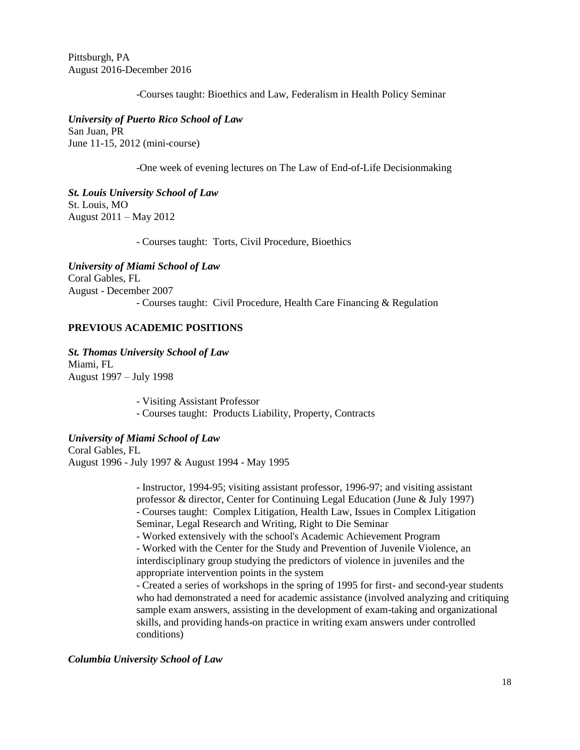Pittsburgh, PA August 2016-December 2016

-Courses taught: Bioethics and Law, Federalism in Health Policy Seminar

*University of Puerto Rico School of Law* San Juan, PR June 11-15, 2012 (mini-course)

-One week of evening lectures on The Law of End-of-Life Decisionmaking

*St. Louis University School of Law* St. Louis, MO August 2011 – May 2012

- Courses taught: Torts, Civil Procedure, Bioethics

*University of Miami School of Law* Coral Gables, FL August - December 2007 - Courses taught: Civil Procedure, Health Care Financing & Regulation

# **PREVIOUS ACADEMIC POSITIONS**

*St. Thomas University School of Law* Miami, FL August 1997 – July 1998

> - Visiting Assistant Professor - Courses taught: Products Liability, Property, Contracts

*University of Miami School of Law* Coral Gables, FL August 1996 - July 1997 & August 1994 - May 1995

> - Instructor, 1994-95; visiting assistant professor, 1996-97; and visiting assistant professor & director, Center for Continuing Legal Education (June & July 1997) - Courses taught: Complex Litigation, Health Law, Issues in Complex Litigation Seminar, Legal Research and Writing, Right to Die Seminar

- Worked extensively with the school's Academic Achievement Program

- Worked with the Center for the Study and Prevention of Juvenile Violence, an interdisciplinary group studying the predictors of violence in juveniles and the appropriate intervention points in the system

- Created a series of workshops in the spring of 1995 for first- and second-year students who had demonstrated a need for academic assistance (involved analyzing and critiquing sample exam answers, assisting in the development of exam-taking and organizational skills, and providing hands-on practice in writing exam answers under controlled conditions)

# *Columbia University School of Law*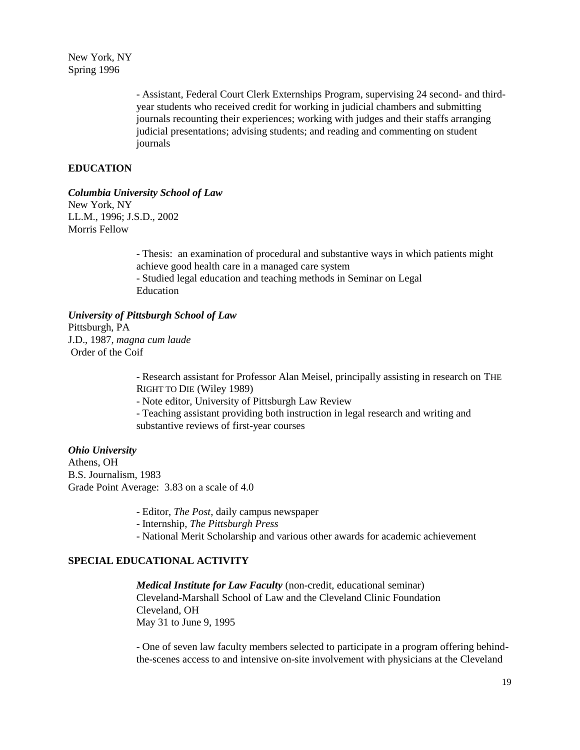New York, NY Spring 1996

> - Assistant, Federal Court Clerk Externships Program, supervising 24 second- and thirdyear students who received credit for working in judicial chambers and submitting journals recounting their experiences; working with judges and their staffs arranging judicial presentations; advising students; and reading and commenting on student journals

# **EDUCATION**

*Columbia University School of Law*

New York, NY LL.M., 1996; J.S.D., 2002 Morris Fellow

> - Thesis: an examination of procedural and substantive ways in which patients might achieve good health care in a managed care system - Studied legal education and teaching methods in Seminar on Legal Education

*University of Pittsburgh School of Law* Pittsburgh, PA J.D., 1987, *magna cum laude* Order of the Coif

> - Research assistant for Professor Alan Meisel, principally assisting in research on THE RIGHT TO DIE (Wiley 1989)

- Note editor, University of Pittsburgh Law Review

- Teaching assistant providing both instruction in legal research and writing and substantive reviews of first-year courses

*Ohio University* Athens, OH B.S. Journalism, 1983 Grade Point Average: 3.83 on a scale of 4.0

- Editor, *The Post*, daily campus newspaper

- Internship, *The Pittsburgh Press*

- National Merit Scholarship and various other awards for academic achievement

# **SPECIAL EDUCATIONAL ACTIVITY**

*Medical Institute for Law Faculty* (non-credit, educational seminar) Cleveland-Marshall School of Law and the Cleveland Clinic Foundation Cleveland, OH May 31 to June 9, 1995

- One of seven law faculty members selected to participate in a program offering behindthe-scenes access to and intensive on-site involvement with physicians at the Cleveland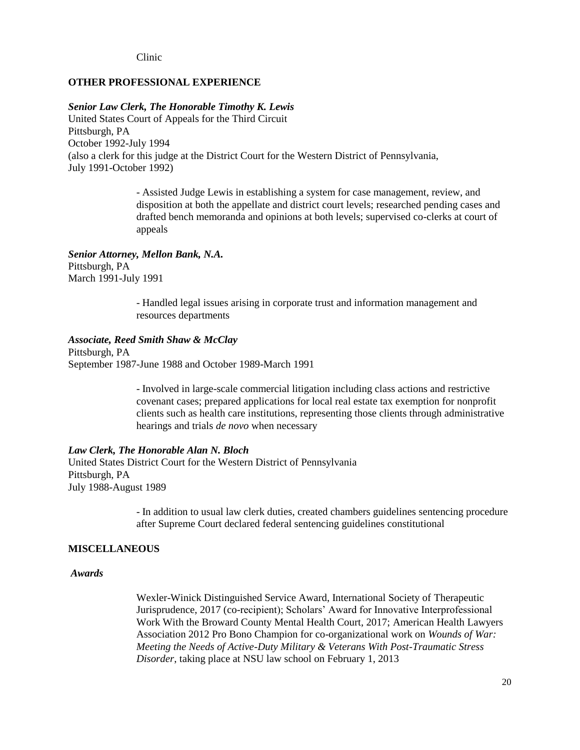Clinic

### **OTHER PROFESSIONAL EXPERIENCE**

#### *Senior Law Clerk, The Honorable Timothy K. Lewis*

United States Court of Appeals for the Third Circuit Pittsburgh, PA October 1992-July 1994 (also a clerk for this judge at the District Court for the Western District of Pennsylvania, July 1991-October 1992)

> - Assisted Judge Lewis in establishing a system for case management, review, and disposition at both the appellate and district court levels; researched pending cases and drafted bench memoranda and opinions at both levels; supervised co-clerks at court of appeals

### *Senior Attorney, Mellon Bank, N.A.*

Pittsburgh, PA March 1991-July 1991

> - Handled legal issues arising in corporate trust and information management and resources departments

### *Associate, Reed Smith Shaw & McClay*

Pittsburgh, PA September 1987-June 1988 and October 1989-March 1991

> - Involved in large-scale commercial litigation including class actions and restrictive covenant cases; prepared applications for local real estate tax exemption for nonprofit clients such as health care institutions, representing those clients through administrative hearings and trials *de novo* when necessary

# *Law Clerk, The Honorable Alan N. Bloch*

United States District Court for the Western District of Pennsylvania Pittsburgh, PA July 1988-August 1989

> - In addition to usual law clerk duties, created chambers guidelines sentencing procedure after Supreme Court declared federal sentencing guidelines constitutional

### **MISCELLANEOUS**

## *Awards*

Wexler-Winick Distinguished Service Award, International Society of Therapeutic Jurisprudence, 2017 (co-recipient); Scholars' Award for Innovative Interprofessional Work With the Broward County Mental Health Court, 2017; American Health Lawyers Association 2012 Pro Bono Champion for co-organizational work on *Wounds of War: Meeting the Needs of Active-Duty Military & Veterans With Post-Traumatic Stress Disorder*, taking place at NSU law school on February 1, 2013